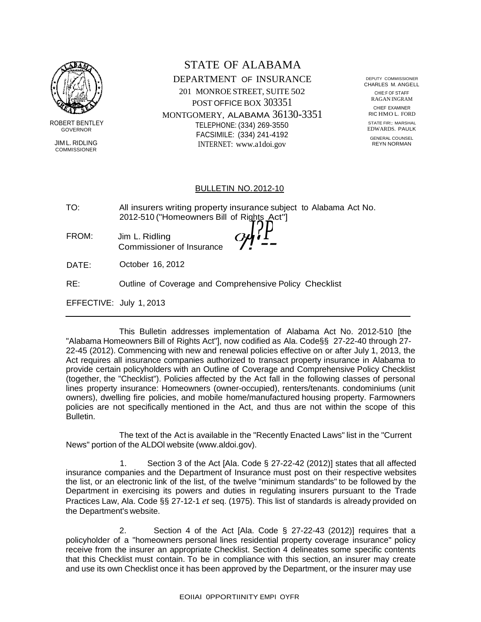

ROBERT BENTLEY GOVERNOR

JIM L. RIDLING **COMMISSIONER** 

STATE OF ALABAMA DEPARTMENT OF INSURANCE 201 MONROE STREET, SUITE 502 POST OFFICE BOX 303351 MONTGOMERY, ALABAMA 36130-3351 TELEPHONE: (334) 269-3550 FACSIMILE: (334) 241-4192 INTERNET: [www.a1doi.gov](http://www.a1doi.gov/)

DEPUTY COMMISSIONER CHARLES M. ANGELL CHIE:F OF STAFF RAGAN INGRAM CHIEF EXAMINER RIC HMO L. FORD

STATE FIR!;: MARSHAL EDWARDS. PAULK GENERAL COUNSEL REYN NORMAN

#### BULLETIN NO.2012-10

| TO:   | All insurers writing property insurance subject to Alabama Act No.<br>2012-510 ("Homeowners Bill of Rights Act"] |
|-------|------------------------------------------------------------------------------------------------------------------|
| FROM: | O/H<br>Jim L. Ridling<br>Commissioner of Insurance                                                               |
| DATE: | October 16, 2012                                                                                                 |

RE: Outline of Coverage and Comprehensive Policy Checklist

EFFECTIVE: July 1, 2013

This Bulletin addresses implementation of Alabama Act No. 2012-510 [the "Alabama Homeowners Bill of Rights Act"], now codified as Ala. Code§§ 27-22-40 through 27- 22-45 (2012). Commencing with new and renewal policies effective on or after July 1, 2013, the Act requires all insurance companies authorized to transact property insurance in Alabama to provide certain policyholders with an Outline of Coverage and Comprehensive Policy Checklist (together, the "Checklist"). Policies affected by the Act fall in the following classes of personal lines property insurance: Homeowners (owner-occupied), renters/tenants. condominiums (unit owners), dwelling fire policies, and mobile home/manufactured housing property. Farmowners policies are not specifically mentioned in the Act, and thus are not within the scope of this Bulletin.

The text of the Act is available in the "Recently Enacted Laws" list in the "Current News" portion of the ALDOl website (www.aldoi.gov).

1. Section 3 of the Act [Ala. Code § 27-22-42 (2012)] states that all affected insurance companies and the Department of Insurance must post on their respective websites the list, or an electronic link of the list, of the twelve "minimum standards" to be followed by the Department in exercising its powers and duties in regulating insurers pursuant to the Trade Practices Law, Ala. Code §§ 27-12-1 *et* seq. (1975). This list of standards is already provided on the Department's website.

2. Section 4 of the Act [Ala. Code  $\S$  27-22-43 (2012)] requires that a policyholder of a "homeowners personal lines residential property coverage insurance" policy receive from the insurer an appropriate Checklist. Section 4 delineates some specific contents that this Checklist must contain. To be in compliance with this section, an insurer may create and use its own Checklist once it has been approved by the Department, or the insurer may use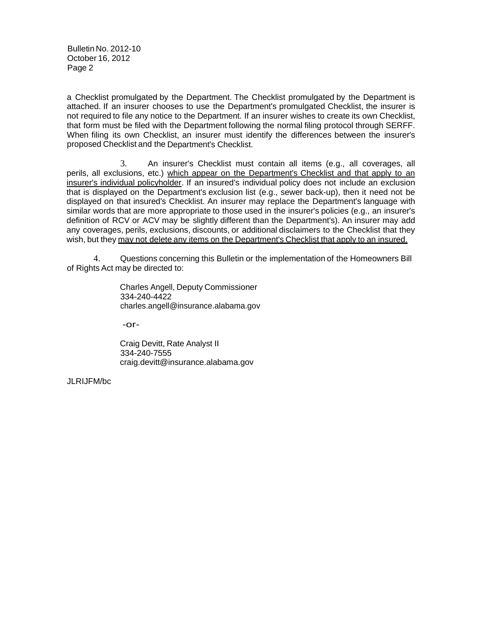Bulletin No. 2012-10 October 16, 2012 Page 2

a Checklist promulgated by the Department. The Checklist promulgated by the Department is attached. If an insurer chooses to use the Department's promulgated Checklist, the insurer is not required to file any notice to the Department. If an insurer wishes to create its own Checklist, that form must be filed with the Department following the normal filing protocol through SERFF. When filing its own Checklist, an insurer must identify the differences between the insurer's proposed Checklist and the Department's Checklist.

3. An insurer's Checklist must contain all items (e.g., all coverages, all perils, all exclusions, etc.) which appear on the Department's Checklist and that apply to an insurer's individual policyholder. If an insured's individual policy does not include an exclusion that is displayed on the Department's exclusion list (e.g., sewer back-up), then it need not be displayed on that insured's Checklist. An insurer may replace the Department's language with similar words that are more appropriate to those used in the insurer's policies (e.g., an insurer's definition of RCV or ACV may be slightly different than the Department's). An insurer may add any coverages, perils, exclusions, discounts, or additional disclaimers to the Checklist that they wish, but they may not delete any items on the Department's Checklist that apply to an insured.

4. Questions concerning this Bulletin or the implementation of the Homeowners Bill of Rights Act may be directed to:

> Charles Angell, Deputy Commissioner 334-240-4422 [charles.angell@insurance.alabama.gov](mailto:charles.angell@insurance.alabama.gov)

-or-

Craig Devitt, Rate Analyst II 334-240-7555 [craig.devitt@insurance.alabama.gov](mailto:craig.devitt@insurance.alabama.gov)

JLRIJFM/bc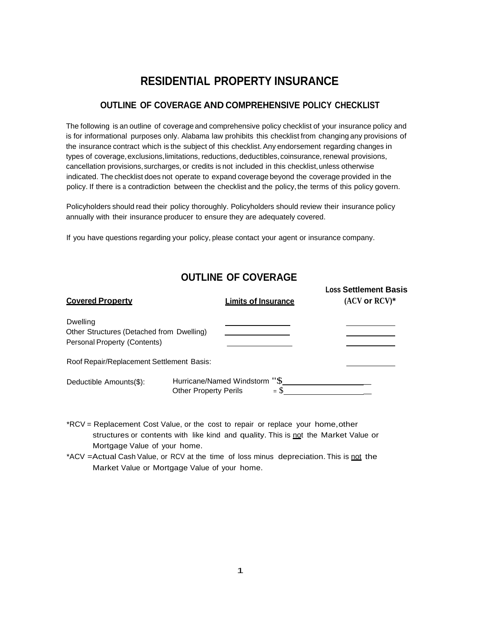# **RESIDENTIAL PROPERTY INSURANCE**

#### **OUTLINE OF COVERAGE AND COMPREHENSIVE POLICY CHECKLIST**

The following is an outline of coverage and comprehensive policy checklist of your insurance policy and is for informational purposes only. Alabama law prohibits this checklist from changing any provisions of the insurance contract which is the subject of this checklist.Any endorsement regarding changes in types of coverage, exclusions, limitations, reductions, deductibles, coinsurance, renewal provisions, cancellation provisions,surcharges, or credits is not included in this checklist,unless otherwise indicated. The checklist does not operate to expand coverage beyond the coverage provided in the policy. If there is a contradiction between the checklist and the policy, the terms of this policy govern.

Policyholders should read their policy thoroughly. Policyholders should review their insurance policy annually with their insurance producer to ensure they are adequately covered.

If you have questions regarding your policy, please contact your agent or insurance company.

#### **OUTLINE OF COVERAGE**

| <b>Covered Property</b>                                                                      | <b>Limits of Insurance</b>                                             | <b>Loss Settlement Basis</b><br>$(ACV or RCV)*$ |
|----------------------------------------------------------------------------------------------|------------------------------------------------------------------------|-------------------------------------------------|
| Dwelling<br>Other Structures (Detached from Dwelling)<br><b>Personal Property (Contents)</b> |                                                                        |                                                 |
| Roof Repair/Replacement Settlement Basis:                                                    |                                                                        |                                                 |
| Deductible Amounts(\$):                                                                      | Hurricane/Named Windstorm "\$<br>$=$ S<br><b>Other Property Perils</b> |                                                 |

- \*RCV = Replacement Cost Value, or the cost to repair or replace your home,other structures or contents with like kind and quality. This is not the Market Value or Mortgage Value of your home.
- \*ACV = Actual Cash Value, or RCV at the time of loss minus depreciation. This is not the Market Value or Mortgage Value of your home.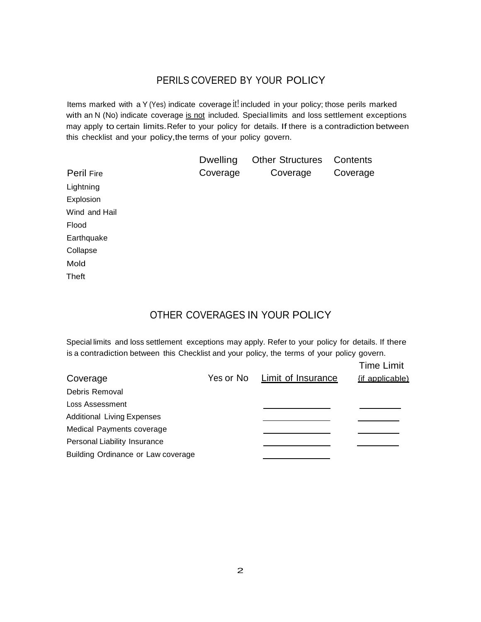#### PERILS COVERED BY YOUR POLICY

Items marked with a Y (Yes) indicate coverage it! included in your policy; those perils marked with an N (No) indicate coverage is not included. Special limits and loss settlement exceptions may apply to certain limits.Refer to your policy for details. If there is a contradiction between this checklist and your policy,the terms of your policy govern.

|                   | <b>Dwelling</b> | <b>Other Structures</b> | Contents |
|-------------------|-----------------|-------------------------|----------|
| <b>Peril Fire</b> | Coverage        | Coverage                | Coverage |
| Lightning         |                 |                         |          |
| Explosion         |                 |                         |          |
| Wind and Hail     |                 |                         |          |
| Flood             |                 |                         |          |
| Earthquake        |                 |                         |          |
| Collapse          |                 |                         |          |
| Mold              |                 |                         |          |
| Theft             |                 |                         |          |

### OTHER COVERAGES IN YOUR POLICY

Special limits and loss settlement exceptions may apply. Refer to your policy for details. If there is a contradiction between this Checklist and your policy, the terms of your policy govern.

|                                    |           |                           | <b>Time Limit</b> |
|------------------------------------|-----------|---------------------------|-------------------|
| Coverage                           | Yes or No | <b>Limit of Insurance</b> | {if applicable)   |
| Debris Removal                     |           |                           |                   |
| Loss Assessment                    |           |                           |                   |
| <b>Additional Living Expenses</b>  |           |                           |                   |
| Medical Payments coverage          |           |                           |                   |
| Personal Liability Insurance       |           |                           |                   |
| Building Ordinance or Law coverage |           |                           |                   |